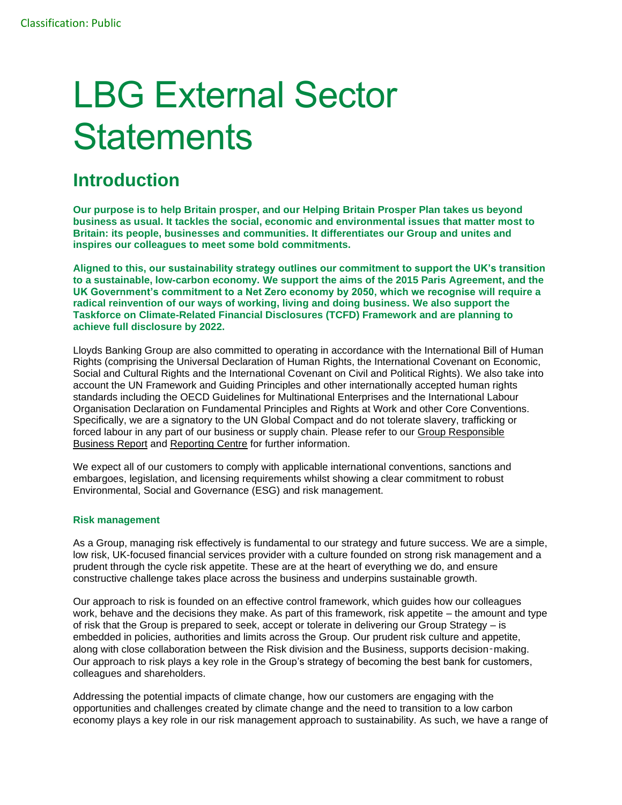# LBG External Sector **Statements**

## **Introduction**

**Our purpose is to help Britain prosper, and our Helping Britain Prosper Plan takes us beyond business as usual. It tackles the social, economic and environmental issues that matter most to Britain: its people, businesses and communities. It differentiates our Group and unites and inspires our colleagues to meet some bold commitments.**

**Aligned to this, our sustainability strategy outlines our commitment to support the UK's transition to a sustainable, low-carbon economy. We support the aims of the 2015 Paris Agreement, and the UK Government's commitment to a Net Zero economy by 2050, which we recognise will require a radical reinvention of our ways of working, living and doing business. We also support the Taskforce on Climate-Related Financial Disclosures (TCFD) Framework and are planning to achieve full disclosure by 2022.**

Lloyds Banking Group are also committed to operating in accordance with the International Bill of Human Rights (comprising the Universal Declaration of Human Rights, the International Covenant on Economic, Social and Cultural Rights and the International Covenant on Civil and Political Rights). We also take into account the UN Framework and Guiding Principles and other internationally accepted human rights standards including the OECD Guidelines for Multinational Enterprises and the International Labour Organisation Declaration on Fundamental Principles and Rights at Work and other Core Conventions. Specifically, we are a signatory to the UN Global Compact and do not tolerate slavery, trafficking or forced labour in any part of our business or supply chain. Please refer to our Group Responsible [Business Report](https://www.lloydsbankinggroup.com/globalassets/documents/investors/2018/2018_lbg_ara_v2_responsible_business.pdf) and [Reporting Centre](https://www.lloydsbankinggroup.com/our-group/responsible-business/reporting-centre/) for further information.

We expect all of our customers to comply with applicable international conventions, sanctions and embargoes, legislation, and licensing requirements whilst showing a clear commitment to robust Environmental, Social and Governance (ESG) and risk management.

#### **Risk management**

As a Group, managing risk effectively is fundamental to our strategy and future success. We are a simple, low risk, UK-focused financial services provider with a culture founded on strong risk management and a prudent through the cycle risk appetite. These are at the heart of everything we do, and ensure constructive challenge takes place across the business and underpins sustainable growth.

Our approach to risk is founded on an effective control framework, which guides how our colleagues work, behave and the decisions they make. As part of this framework, risk appetite – the amount and type of risk that the Group is prepared to seek, accept or tolerate in delivering our Group Strategy – is embedded in policies, authorities and limits across the Group. Our prudent risk culture and appetite, along with close collaboration between the Risk division and the Business, supports decision-making. Our approach to risk plays a key role in the Group's strategy of becoming the best bank for customers, colleagues and shareholders.

Addressing the potential impacts of climate change, how our customers are engaging with the opportunities and challenges created by climate change and the need to transition to a low carbon economy plays a key role in our risk management approach to sustainability. As such, we have a range of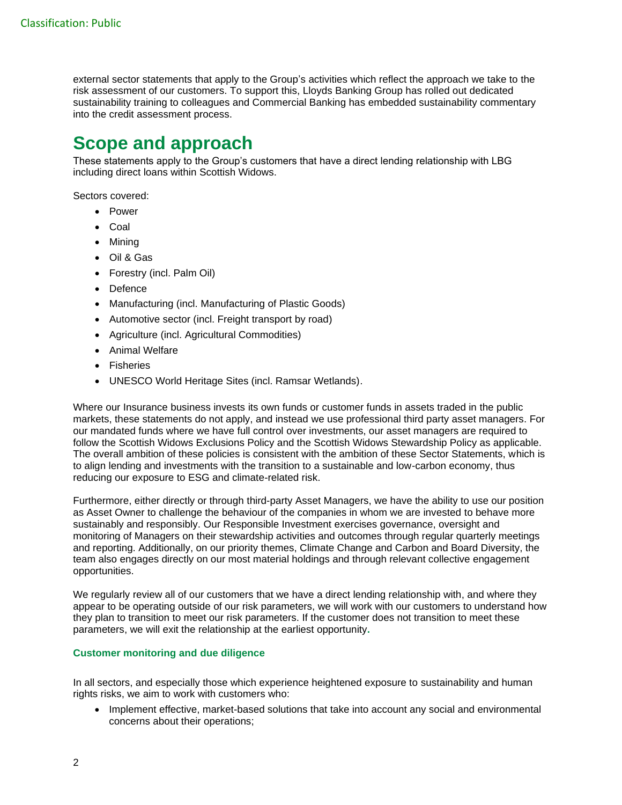external sector statements that apply to the Group's activities which reflect the approach we take to the risk assessment of our customers. To support this, Lloyds Banking Group has rolled out dedicated sustainability training to colleagues and Commercial Banking has embedded sustainability commentary into the credit assessment process.

## **Scope and approach**

These statements apply to the Group's customers that have a direct lending relationship with LBG including direct loans within Scottish Widows.

Sectors covered:

- Power
- Coal
- Mining
- Oil & Gas
- Forestry (incl. Palm Oil)
- Defence
- Manufacturing (incl. Manufacturing of Plastic Goods)
- Automotive sector (incl. Freight transport by road)
- Agriculture (incl. Agricultural Commodities)
- Animal Welfare
- Fisheries
- UNESCO World Heritage Sites (incl. Ramsar Wetlands).

Where our Insurance business invests its own funds or customer funds in assets traded in the public markets, these statements do not apply, and instead we use professional third party asset managers. For our mandated funds where we have full control over investments, our asset managers are required to follow the Scottish Widows Exclusions Policy and the Scottish Widows Stewardship Policy as applicable. The overall ambition of these policies is consistent with the ambition of these Sector Statements, which is to align lending and investments with the transition to a sustainable and low-carbon economy, thus reducing our exposure to ESG and climate-related risk.

Furthermore, either directly or through third-party Asset Managers, we have the ability to use our position as Asset Owner to challenge the behaviour of the companies in whom we are invested to behave more sustainably and responsibly. Our Responsible Investment exercises governance, oversight and monitoring of Managers on their stewardship activities and outcomes through regular quarterly meetings and reporting. Additionally, on our priority themes, Climate Change and Carbon and Board Diversity, the team also engages directly on our most material holdings and through relevant collective engagement opportunities.

We regularly review all of our customers that we have a direct lending relationship with, and where they appear to be operating outside of our risk parameters, we will work with our customers to understand how they plan to transition to meet our risk parameters. If the customer does not transition to meet these parameters, we will exit the relationship at the earliest opportunity**.**

#### **Customer monitoring and due diligence**

In all sectors, and especially those which experience heightened exposure to sustainability and human rights risks, we aim to work with customers who:

• Implement effective, market-based solutions that take into account any social and environmental concerns about their operations;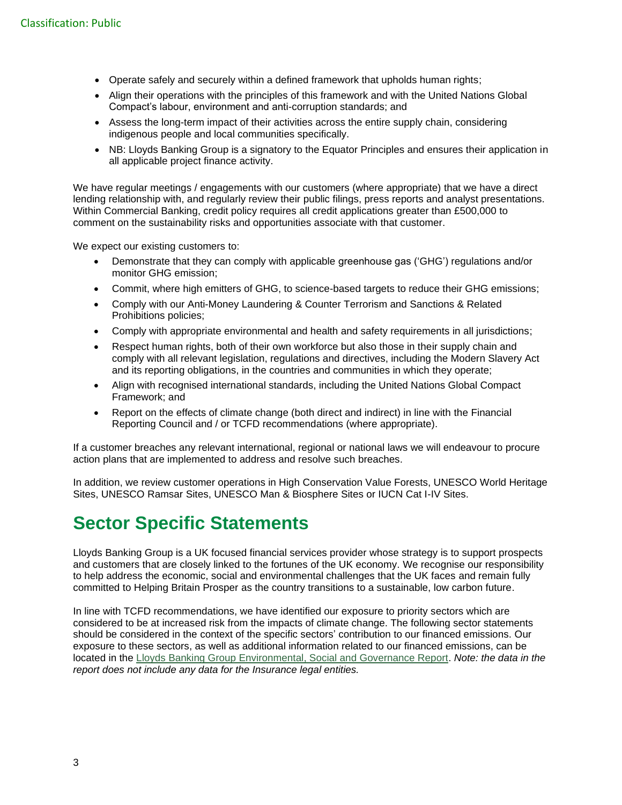- Operate safely and securely within a defined framework that upholds human rights;
- Align their operations with the principles of this framework and with the United Nations Global Compact's labour, environment and anti-corruption standards; and
- Assess the long-term impact of their activities across the entire supply chain, considering indigenous people and local communities specifically.
- NB: Lloyds Banking Group is a signatory to the Equator Principles and ensures their application in all applicable project finance activity.

We have regular meetings / engagements with our customers (where appropriate) that we have a direct lending relationship with, and regularly review their public filings, press reports and analyst presentations. Within Commercial Banking, credit policy requires all credit applications greater than £500,000 to comment on the sustainability risks and opportunities associate with that customer.

We expect our existing customers to:

- Demonstrate that they can comply with applicable greenhouse gas ('GHG') regulations and/or monitor GHG emission;
- Commit, where high emitters of GHG, to science-based targets to reduce their GHG emissions;
- Comply with our Anti-Money Laundering & Counter Terrorism and Sanctions & Related Prohibitions policies;
- Comply with appropriate environmental and health and safety requirements in all jurisdictions;
- Respect human rights, both of their own workforce but also those in their supply chain and comply with all relevant legislation, regulations and directives, including the Modern Slavery Act and its reporting obligations, in the countries and communities in which they operate;
- Align with recognised international standards, including the United Nations Global Compact Framework; and
- Report on the effects of climate change (both direct and indirect) in line with the Financial Reporting Council and / or TCFD recommendations (where appropriate).

If a customer breaches any relevant international, regional or national laws we will endeavour to procure action plans that are implemented to address and resolve such breaches.

In addition, we review customer operations in High Conservation Value Forests, UNESCO World Heritage Sites, UNESCO Ramsar Sites, UNESCO Man & Biosphere Sites or IUCN Cat I-IV Sites.

## **Sector Specific Statements**

Lloyds Banking Group is a UK focused financial services provider whose strategy is to support prospects and customers that are closely linked to the fortunes of the UK economy. We recognise our responsibility to help address the economic, social and environmental challenges that the UK faces and remain fully committed to Helping Britain Prosper as the country transitions to a sustainable, low carbon future.

In line with TCFD recommendations, we have identified our exposure to priority sectors which are considered to be at increased risk from the impacts of climate change. The following sector statements should be considered in the context of the specific sectors' contribution to our financed emissions. Our exposure to these sectors, as well as additional information related to our financed emissions, can be located in the [Lloyds Banking Group Environmental, Social and Governance Report.](https://www.lloydsbankinggroup.com/who-we-are/responsible-business/downloads.html) *Note: the data in the report does not include any data for the Insurance legal entities.*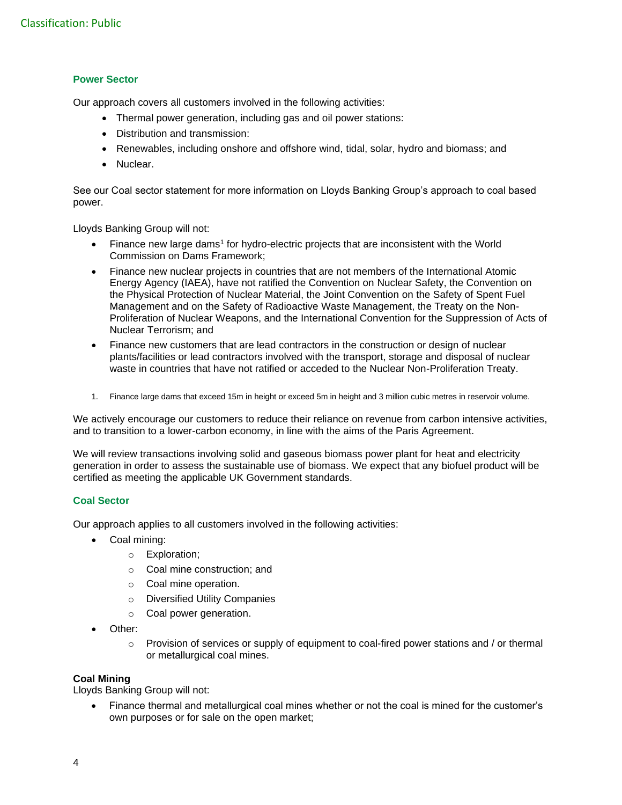#### **Power Sector**

Our approach covers all customers involved in the following activities:

- Thermal power generation, including gas and oil power stations:
- Distribution and transmission:
- Renewables, including onshore and offshore wind, tidal, solar, hydro and biomass; and
- Nuclear.

See our Coal sector statement for more information on Lloyds Banking Group's approach to coal based power.

Lloyds Banking Group will not:

- Finance new large dams<sup>1</sup> for hydro-electric projects that are inconsistent with the World Commission on Dams Framework;
- Finance new nuclear projects in countries that are not members of the International Atomic Energy Agency (IAEA), have not ratified the Convention on Nuclear Safety, the Convention on the Physical Protection of Nuclear Material, the Joint Convention on the Safety of Spent Fuel Management and on the Safety of Radioactive Waste Management, the Treaty on the Non-Proliferation of Nuclear Weapons, and the International Convention for the Suppression of Acts of Nuclear Terrorism; and
- Finance new customers that are lead contractors in the construction or design of nuclear plants/facilities or lead contractors involved with the transport, storage and disposal of nuclear waste in countries that have not ratified or acceded to the Nuclear Non-Proliferation Treaty.
- 1. Finance large dams that exceed 15m in height or exceed 5m in height and 3 million cubic metres in reservoir volume.

We actively encourage our customers to reduce their reliance on revenue from carbon intensive activities, and to transition to a lower-carbon economy, in line with the aims of the Paris Agreement.

We will review transactions involving solid and gaseous biomass power plant for heat and electricity generation in order to assess the sustainable use of biomass. We expect that any biofuel product will be certified as meeting the applicable UK Government standards.

#### **Coal Sector**

Our approach applies to all customers involved in the following activities:

- Coal mining:
	- o Exploration;
	- o Coal mine construction; and
	- o Coal mine operation.
	- o Diversified Utility Companies
	- o Coal power generation.
- Other:
	- $\circ$  Provision of services or supply of equipment to coal-fired power stations and / or thermal or metallurgical coal mines.

#### **Coal Mining**

Lloyds Banking Group will not:

• Finance thermal and metallurgical coal mines whether or not the coal is mined for the customer's own purposes or for sale on the open market;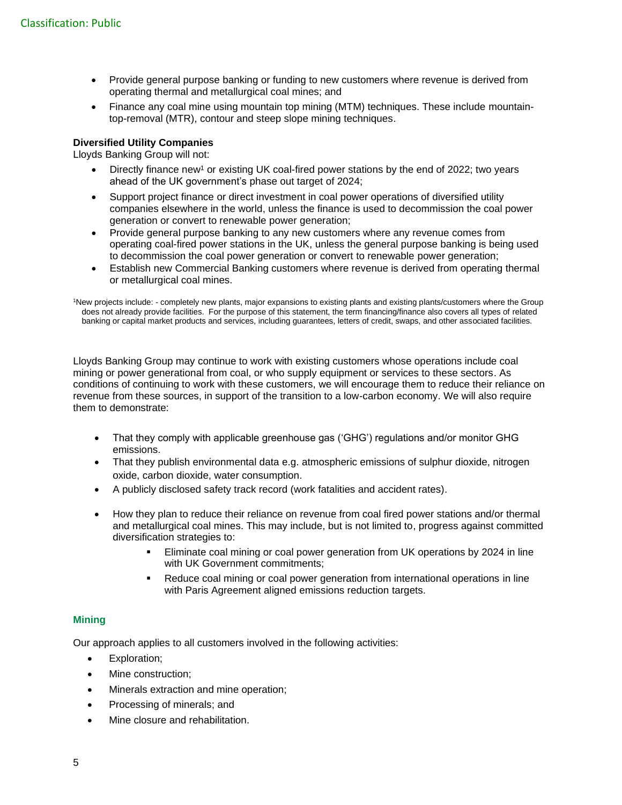- Provide general purpose banking or funding to new customers where revenue is derived from operating thermal and metallurgical coal mines; and
- Finance any coal mine using mountain top mining (MTM) techniques. These include mountaintop-removal (MTR), contour and steep slope mining techniques.

#### **Diversified Utility Companies**

Lloyds Banking Group will not:

- Directly finance new<sup>1</sup> or existing UK coal-fired power stations by the end of 2022; two years ahead of the UK government's phase out target of 2024;
- Support project finance or direct investment in coal power operations of diversified utility companies elsewhere in the world, unless the finance is used to decommission the coal power generation or convert to renewable power generation;
- Provide general purpose banking to any new customers where any revenue comes from operating coal-fired power stations in the UK, unless the general purpose banking is being used to decommission the coal power generation or convert to renewable power generation;
- Establish new Commercial Banking customers where revenue is derived from operating thermal or metallurgical coal mines.

<sup>1</sup>New projects include: - completely new plants, major expansions to existing plants and existing plants/customers where the Group does not already provide facilities. For the purpose of this statement, the term financing/finance also covers all types of related banking or capital market products and services, including guarantees, letters of credit, swaps, and other associated facilities.

Lloyds Banking Group may continue to work with existing customers whose operations include coal mining or power generational from coal, or who supply equipment or services to these sectors. As conditions of continuing to work with these customers, we will encourage them to reduce their reliance on revenue from these sources, in support of the transition to a low-carbon economy. We will also require them to demonstrate:

- That they comply with applicable greenhouse gas ('GHG') regulations and/or monitor GHG emissions.
- That they publish environmental data e.g. atmospheric emissions of sulphur dioxide, nitrogen oxide, carbon dioxide, water consumption.
- A publicly disclosed safety track record (work fatalities and accident rates).
- How they plan to reduce their reliance on revenue from coal fired power stations and/or thermal and metallurgical coal mines. This may include, but is not limited to, progress against committed diversification strategies to:
	- Eliminate coal mining or coal power generation from UK operations by 2024 in line with UK Government commitments;
	- Reduce coal mining or coal power generation from international operations in line with Paris Agreement aligned emissions reduction targets.

#### **Mining**

Our approach applies to all customers involved in the following activities:

- Exploration:
- Mine construction:
- Minerals extraction and mine operation;
- Processing of minerals; and
- Mine closure and rehabilitation.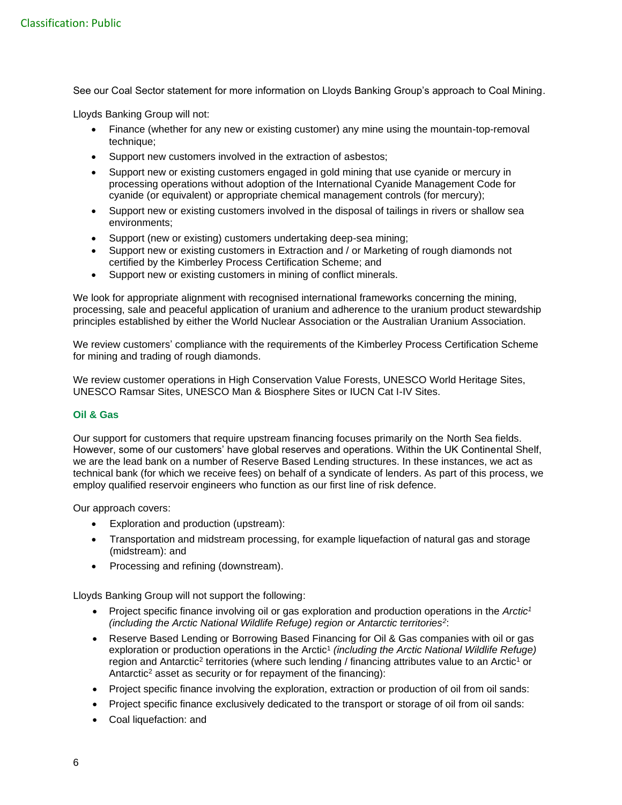See our Coal Sector statement for more information on Lloyds Banking Group's approach to Coal Mining.

Lloyds Banking Group will not:

- Finance (whether for any new or existing customer) any mine using the mountain-top-removal technique:
- Support new customers involved in the extraction of asbestos;
- Support new or existing customers engaged in gold mining that use cyanide or mercury in processing operations without adoption of the International Cyanide Management Code for cyanide (or equivalent) or appropriate chemical management controls (for mercury);
- Support new or existing customers involved in the disposal of tailings in rivers or shallow sea environments;
- Support (new or existing) customers undertaking deep-sea mining;
- Support new or existing customers in Extraction and / or Marketing of rough diamonds not certified by the Kimberley Process Certification Scheme; and
- Support new or existing customers in mining of conflict minerals.

We look for appropriate alignment with recognised international frameworks concerning the mining, processing, sale and peaceful application of uranium and adherence to the uranium product stewardship principles established by either the World Nuclear Association or the Australian Uranium Association.

We review customers' compliance with the requirements of the Kimberley Process Certification Scheme for mining and trading of rough diamonds.

We review customer operations in High Conservation Value Forests, UNESCO World Heritage Sites, UNESCO Ramsar Sites, UNESCO Man & Biosphere Sites or IUCN Cat I-IV Sites.

#### **Oil & Gas**

Our support for customers that require upstream financing focuses primarily on the North Sea fields. However, some of our customers' have global reserves and operations. Within the UK Continental Shelf, we are the lead bank on a number of Reserve Based Lending structures. In these instances, we act as technical bank (for which we receive fees) on behalf of a syndicate of lenders. As part of this process, we employ qualified reservoir engineers who function as our first line of risk defence.

Our approach covers:

- Exploration and production (upstream):
- Transportation and midstream processing, for example liquefaction of natural gas and storage (midstream): and
- Processing and refining (downstream).

Lloyds Banking Group will not support the following:

- Project specific finance involving oil or gas exploration and production operations in the *Arctic<sup>1</sup> (including the Arctic National Wildlife Refuge) region or Antarctic territories<sup>2</sup>* :
- Reserve Based Lending or Borrowing Based Financing for Oil & Gas companies with oil or gas exploration or production operations in the Arctic<sup>1</sup> (including the Arctic National Wildlife Refuge) region and Antarctic<sup>2</sup> territories (where such lending / financing attributes value to an Arctic<sup>1</sup> or Antarctic<sup>2</sup> asset as security or for repayment of the financing):
- Project specific finance involving the exploration, extraction or production of oil from oil sands:
- Project specific finance exclusively dedicated to the transport or storage of oil from oil sands:
- Coal liquefaction: and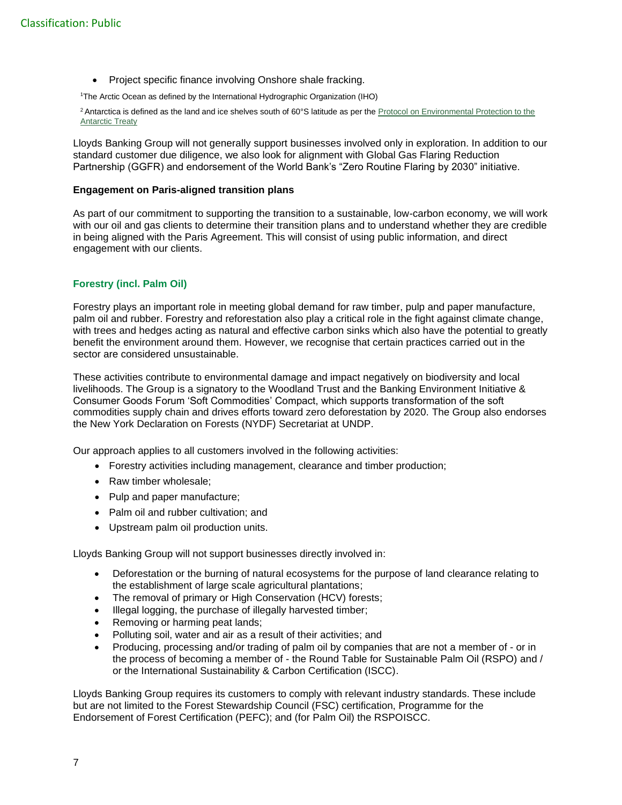• Project specific finance involving Onshore shale fracking.

<sup>1</sup>The Arctic Ocean as defined by the International Hydrographic Organization (IHO)

<sup>2</sup> Antarctica is defined as the land and ice shelves south of 60°S latitude as per the Protocol on Environmental Protection to the [Antarctic Treaty](https://www.ats.aq/documents/atcm39/ww/atcm39_ww007_e.pdf)

Lloyds Banking Group will not generally support businesses involved only in exploration. In addition to our standard customer due diligence, we also look for alignment with Global Gas Flaring Reduction Partnership (GGFR) and endorsement of the World Bank's "Zero Routine Flaring by 2030" initiative.

#### **Engagement on Paris-aligned transition plans**

As part of our commitment to supporting the transition to a sustainable, low-carbon economy, we will work with our oil and gas clients to determine their transition plans and to understand whether they are credible in being aligned with the Paris Agreement. This will consist of using public information, and direct engagement with our clients.

#### **Forestry (incl. Palm Oil)**

Forestry plays an important role in meeting global demand for raw timber, pulp and paper manufacture, palm oil and rubber. Forestry and reforestation also play a critical role in the fight against climate change, with trees and hedges acting as natural and effective carbon sinks which also have the potential to greatly benefit the environment around them. However, we recognise that certain practices carried out in the sector are considered unsustainable.

These activities contribute to environmental damage and impact negatively on biodiversity and local livelihoods. The Group is a signatory to the Woodland Trust and the Banking Environment Initiative & Consumer Goods Forum 'Soft Commodities' Compact, which supports transformation of the soft commodities supply chain and drives efforts toward zero deforestation by 2020. The Group also endorses the New York Declaration on Forests (NYDF) Secretariat at UNDP.

Our approach applies to all customers involved in the following activities:

- Forestry activities including management, clearance and timber production;
- Raw timber wholesale;
- Pulp and paper manufacture;
- Palm oil and rubber cultivation; and
- Upstream palm oil production units.

Lloyds Banking Group will not support businesses directly involved in:

- Deforestation or the burning of natural ecosystems for the purpose of land clearance relating to the establishment of large scale agricultural plantations;
- The removal of primary or High Conservation (HCV) forests;
- Illegal logging, the purchase of illegally harvested timber;
- Removing or harming peat lands:
- Polluting soil, water and air as a result of their activities; and
- Producing, processing and/or trading of palm oil by companies that are not a member of or in the process of becoming a member of - the Round Table for Sustainable Palm Oil (RSPO) and / or the International Sustainability & Carbon Certification (ISCC).

Lloyds Banking Group requires its customers to comply with relevant industry standards. These include but are not limited to the Forest Stewardship Council (FSC) certification, Programme for the Endorsement of Forest Certification (PEFC); and (for Palm Oil) the RSPOISCC.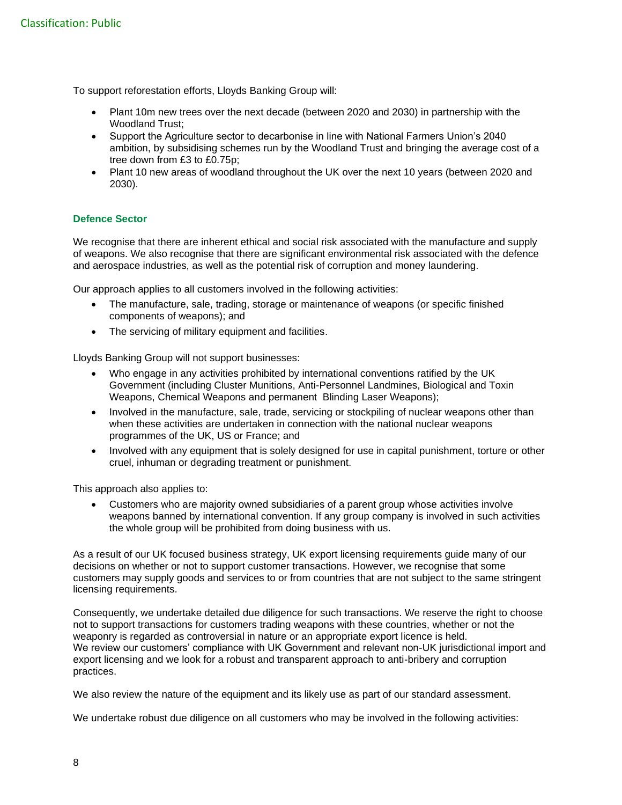To support reforestation efforts, Lloyds Banking Group will:

- Plant 10m new trees over the next decade (between 2020 and 2030) in partnership with the Woodland Trust;
- Support the Agriculture sector to decarbonise in line with National Farmers Union's 2040 ambition, by subsidising schemes run by the Woodland Trust and bringing the average cost of a tree down from £3 to £0.75p;
- Plant 10 new areas of woodland throughout the UK over the next 10 years (between 2020 and 2030).

#### **Defence Sector**

We recognise that there are inherent ethical and social risk associated with the manufacture and supply of weapons. We also recognise that there are significant environmental risk associated with the defence and aerospace industries, as well as the potential risk of corruption and money laundering.

Our approach applies to all customers involved in the following activities:

- The manufacture, sale, trading, storage or maintenance of weapons (or specific finished components of weapons); and
- The servicing of military equipment and facilities.

Lloyds Banking Group will not support businesses:

- Who engage in any activities prohibited by international conventions ratified by the UK Government (including Cluster Munitions, Anti-Personnel Landmines, Biological and Toxin Weapons, Chemical Weapons and permanent Blinding Laser Weapons);
- Involved in the manufacture, sale, trade, servicing or stockpiling of nuclear weapons other than when these activities are undertaken in connection with the national nuclear weapons programmes of the UK, US or France; and
- Involved with any equipment that is solely designed for use in capital punishment, torture or other cruel, inhuman or degrading treatment or punishment.

This approach also applies to:

• Customers who are majority owned subsidiaries of a parent group whose activities involve weapons banned by international convention. If any group company is involved in such activities the whole group will be prohibited from doing business with us.

As a result of our UK focused business strategy, UK export licensing requirements guide many of our decisions on whether or not to support customer transactions. However, we recognise that some customers may supply goods and services to or from countries that are not subject to the same stringent licensing requirements.

Consequently, we undertake detailed due diligence for such transactions. We reserve the right to choose not to support transactions for customers trading weapons with these countries, whether or not the weaponry is regarded as controversial in nature or an appropriate export licence is held. We review our customers' compliance with UK Government and relevant non-UK jurisdictional import and export licensing and we look for a robust and transparent approach to anti-bribery and corruption practices.

We also review the nature of the equipment and its likely use as part of our standard assessment.

We undertake robust due diligence on all customers who may be involved in the following activities: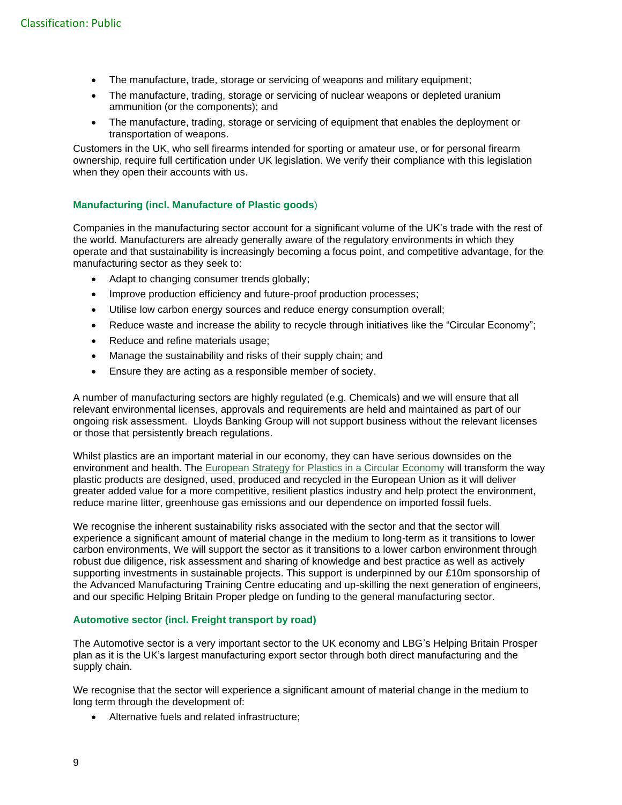- The manufacture, trade, storage or servicing of weapons and military equipment;
- The manufacture, trading, storage or servicing of nuclear weapons or depleted uranium ammunition (or the components); and
- The manufacture, trading, storage or servicing of equipment that enables the deployment or transportation of weapons.

Customers in the UK, who sell firearms intended for sporting or amateur use, or for personal firearm ownership, require full certification under UK legislation. We verify their compliance with this legislation when they open their accounts with us.

#### **Manufacturing (incl. Manufacture of Plastic goods**)

Companies in the manufacturing sector account for a significant volume of the UK's trade with the rest of the world. Manufacturers are already generally aware of the regulatory environments in which they operate and that sustainability is increasingly becoming a focus point, and competitive advantage, for the manufacturing sector as they seek to:

- Adapt to changing consumer trends globally;
- Improve production efficiency and future-proof production processes;
- Utilise low carbon energy sources and reduce energy consumption overall;
- Reduce waste and increase the ability to recycle through initiatives like the "Circular Economy";
- Reduce and refine materials usage;
- Manage the sustainability and risks of their supply chain; and
- Ensure they are acting as a responsible member of society.

A number of manufacturing sectors are highly regulated (e.g. Chemicals) and we will ensure that all relevant environmental licenses, approvals and requirements are held and maintained as part of our ongoing risk assessment. Lloyds Banking Group will not support business without the relevant licenses or those that persistently breach regulations.

Whilst plastics are an important material in our economy, they can have serious downsides on the environment and health. The [European Strategy for Plastics in a Circular Economy](http://eur-lex.europa.eu/legal-content/EN/TXT/?qid=1516265440535&uri=COM:2018:28:FIN) will transform the way plastic products are designed, used, produced and recycled in the European Union as it will deliver greater added value for a more competitive, resilient plastics industry and help protect the environment, reduce marine litter, greenhouse gas emissions and our dependence on imported fossil fuels.

We recognise the inherent sustainability risks associated with the sector and that the sector will experience a significant amount of material change in the medium to long-term as it transitions to lower carbon environments, We will support the sector as it transitions to a lower carbon environment through robust due diligence, risk assessment and sharing of knowledge and best practice as well as actively supporting investments in sustainable projects. This support is underpinned by our £10m sponsorship of the Advanced Manufacturing Training Centre educating and up-skilling the next generation of engineers, and our specific Helping Britain Proper pledge on funding to the general manufacturing sector.

#### **Automotive sector (incl. Freight transport by road)**

The Automotive sector is a very important sector to the UK economy and LBG's Helping Britain Prosper plan as it is the UK's largest manufacturing export sector through both direct manufacturing and the supply chain.

We recognise that the sector will experience a significant amount of material change in the medium to long term through the development of:

• Alternative fuels and related infrastructure;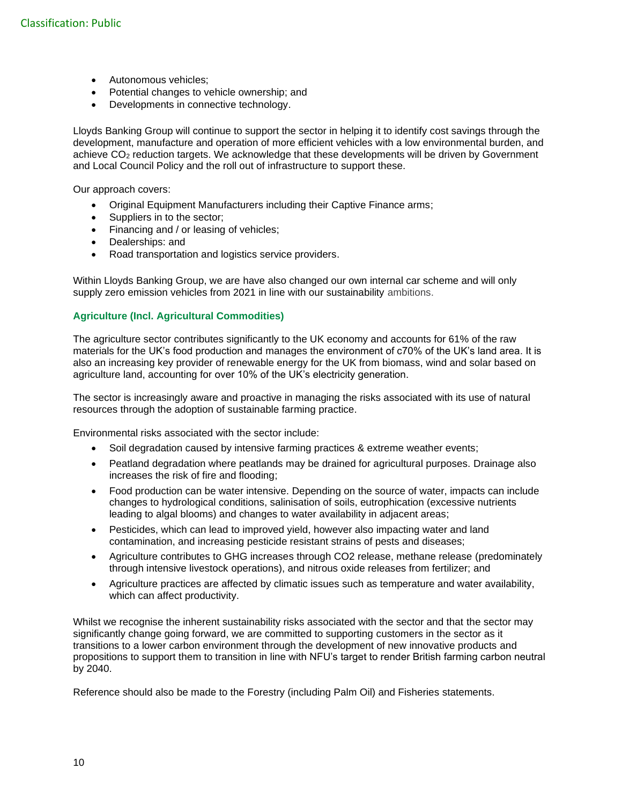- Autonomous vehicles;
- Potential changes to vehicle ownership; and
- Developments in connective technology.

Lloyds Banking Group will continue to support the sector in helping it to identify cost savings through the development, manufacture and operation of more efficient vehicles with a low environmental burden, and achieve CO<sup>2</sup> reduction targets. We acknowledge that these developments will be driven by Government and Local Council Policy and the roll out of infrastructure to support these.

Our approach covers:

- Original Equipment Manufacturers including their Captive Finance arms;
- Suppliers in to the sector;
- Financing and / or leasing of vehicles;
- Dealerships: and
- Road transportation and logistics service providers.

Within Lloyds Banking Group, we are have also changed our own internal car scheme and will only supply zero emission vehicles from 2021 in line with our sustainability ambitions.

#### **Agriculture (Incl. Agricultural Commodities)**

The agriculture sector contributes significantly to the UK economy and accounts for 61% of the raw materials for the UK's food production and manages the environment of c70% of the UK's land area. It is also an increasing key provider of renewable energy for the UK from biomass, wind and solar based on agriculture land, accounting for over 10% of the UK's electricity generation.

The sector is increasingly aware and proactive in managing the risks associated with its use of natural resources through the adoption of sustainable farming practice.

Environmental risks associated with the sector include:

- Soil degradation caused by intensive farming practices & extreme weather events;
- Peatland degradation where peatlands may be drained for agricultural purposes. Drainage also increases the risk of fire and flooding;
- Food production can be water intensive. Depending on the source of water, impacts can include changes to hydrological conditions, salinisation of soils, eutrophication (excessive nutrients leading to algal blooms) and changes to water availability in adjacent areas;
- Pesticides, which can lead to improved yield, however also impacting water and land contamination, and increasing pesticide resistant strains of pests and diseases;
- Agriculture contributes to GHG increases through CO2 release, methane release (predominately through intensive livestock operations), and nitrous oxide releases from fertilizer; and
- Agriculture practices are affected by climatic issues such as temperature and water availability, which can affect productivity.

Whilst we recognise the inherent sustainability risks associated with the sector and that the sector may significantly change going forward, we are committed to supporting customers in the sector as it transitions to a lower carbon environment through the development of new innovative products and propositions to support them to transition in line with NFU's target to render British farming carbon neutral by 2040.

Reference should also be made to the Forestry (including Palm Oil) and Fisheries statements.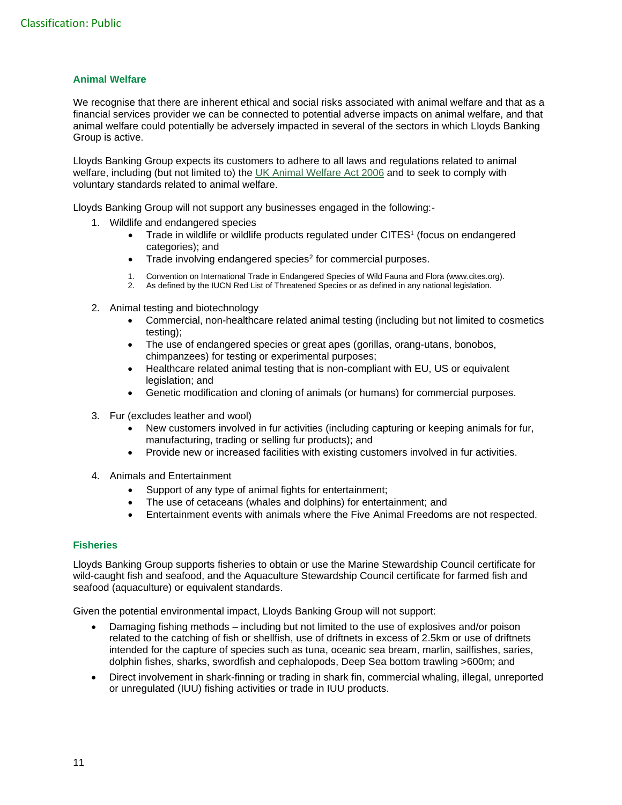#### **Animal Welfare**

We recognise that there are inherent ethical and social risks associated with animal welfare and that as a financial services provider we can be connected to potential adverse impacts on animal welfare, and that animal welfare could potentially be adversely impacted in several of the sectors in which Lloyds Banking Group is active.

Lloyds Banking Group expects its customers to adhere to all laws and regulations related to animal welfare, including (but not limited to) the [UK Animal Welfare](https://www.legislation.gov.uk/ukpga/2006/45/contents) Act 2006 and to seek to comply with voluntary standards related to animal welfare.

Lloyds Banking Group will not support any businesses engaged in the following:-

- 1. Wildlife and endangered species
	- Trade in wildlife or wildlife products regulated under CITES<sup>1</sup> (focus on endangered categories); and
	- Trade involving endangered species<sup>2</sup> for commercial purposes.
	- 1. Convention on International Trade in Endangered Species of Wild Fauna and Flora (www.cites.org).
	- 2. As defined by the IUCN Red List of Threatened Species or as defined in any national legislation.
- 2. Animal testing and biotechnology
	- Commercial, non-healthcare related animal testing (including but not limited to cosmetics testing);
	- The use of endangered species or great apes (gorillas, orang-utans, bonobos, chimpanzees) for testing or experimental purposes;
	- Healthcare related animal testing that is non-compliant with EU, US or equivalent legislation; and
	- Genetic modification and cloning of animals (or humans) for commercial purposes.
- 3. Fur (excludes leather and wool)
	- New customers involved in fur activities (including capturing or keeping animals for fur, manufacturing, trading or selling fur products); and
	- Provide new or increased facilities with existing customers involved in fur activities.
- 4. Animals and Entertainment
	- Support of any type of animal fights for entertainment;
	- The use of cetaceans (whales and dolphins) for entertainment; and
	- Entertainment events with animals where the Five Animal Freedoms are not respected.

#### **Fisheries**

Lloyds Banking Group supports fisheries to obtain or use the Marine Stewardship Council certificate for wild-caught fish and seafood, and the Aquaculture Stewardship Council certificate for farmed fish and seafood (aquaculture) or equivalent standards.

Given the potential environmental impact, Lloyds Banking Group will not support:

- Damaging fishing methods including but not limited to the use of explosives and/or poison related to the catching of fish or shellfish, use of driftnets in excess of 2.5km or use of driftnets intended for the capture of species such as tuna, oceanic sea bream, marlin, sailfishes, saries, dolphin fishes, sharks, swordfish and cephalopods, Deep Sea bottom trawling >600m; and
- Direct involvement in shark-finning or trading in shark fin, commercial whaling, illegal, unreported or unregulated (IUU) fishing activities or trade in IUU products.